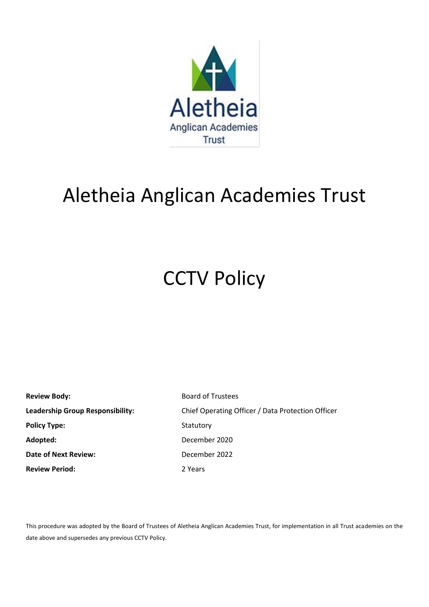

# Aletheia Anglican Academies Trust

# **CCTV Policy**

| <b>Review Body:</b>                     | <b>Board of Trustees</b>                          |  |
|-----------------------------------------|---------------------------------------------------|--|
| <b>Leadership Group Responsibility:</b> | Chief Operating Officer / Data Protection Officer |  |
| <b>Policy Type:</b>                     | Statutory                                         |  |
| Adopted:                                | December 2020                                     |  |
| <b>Date of Next Review:</b>             | December 2022                                     |  |
| <b>Review Period:</b>                   | 2 Years                                           |  |

This procedure was adopted by the Board of Trustees of Aletheia Anglican Academies Trust, for implementation in all Trust academies on the date above and supersedes any previous CCTV Policy.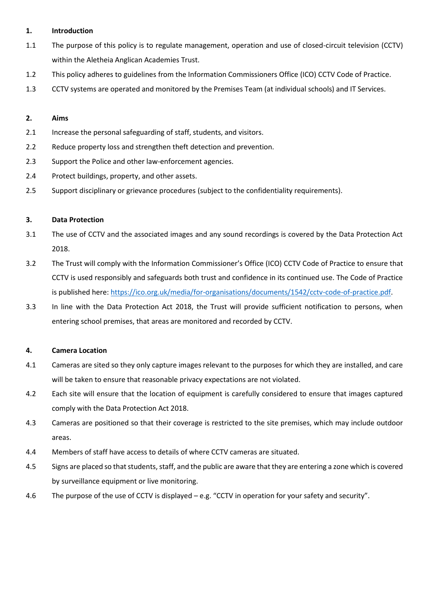# **1. Introduction**

- 1.1 The purpose of this policy is to regulate management, operation and use of closed-circuit television (CCTV) within the Aletheia Anglican Academies Trust.
- 1.2 This policy adheres to guidelines from the Information Commissioners Office (ICO) CCTV Code of Practice.
- 1.3 CCTV systems are operated and monitored by the Premises Team (at individual schools) and IT Services.

# **2. Aims**

- 2.1 Increase the personal safeguarding of staff, students, and visitors.
- 2.2 Reduce property loss and strengthen theft detection and prevention.
- 2.3 Support the Police and other law-enforcement agencies.
- 2.4 Protect buildings, property, and other assets.
- 2.5 Support disciplinary or grievance procedures (subject to the confidentiality requirements).

### **3. Data Protection**

- 3.1 The use of CCTV and the associated images and any sound recordings is covered by the Data Protection Act 2018.
- 3.2 The Trust will comply with the Information Commissioner's Office (ICO) CCTV Code of Practice to ensure that CCTV is used responsibly and safeguards both trust and confidence in its continued use. The Code of Practice is published here[: https://ico.org.uk/media/for-organisations/documents/1542/cctv-code-of-practice.pdf.](https://ico.org.uk/media/for-organisations/documents/1542/cctv-code-of-practice.pdf)
- 3.3 In line with the Data Protection Act 2018, the Trust will provide sufficient notification to persons, when entering school premises, that areas are monitored and recorded by CCTV.

### **4. Camera Location**

- 4.1 Cameras are sited so they only capture images relevant to the purposes for which they are installed, and care will be taken to ensure that reasonable privacy expectations are not violated.
- 4.2 Each site will ensure that the location of equipment is carefully considered to ensure that images captured comply with the Data Protection Act 2018.
- 4.3 Cameras are positioned so that their coverage is restricted to the site premises, which may include outdoor areas.
- 4.4 Members of staff have access to details of where CCTV cameras are situated.
- 4.5 Signs are placed so that students, staff, and the public are aware that they are entering a zone which is covered by surveillance equipment or live monitoring.
- 4.6 The purpose of the use of CCTV is displayed e.g. "CCTV in operation for your safety and security".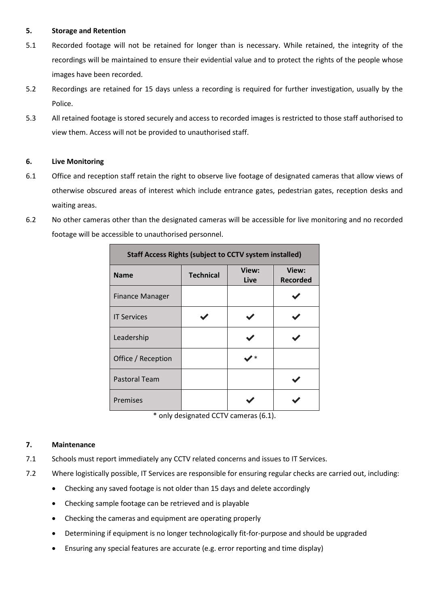# **5. Storage and Retention**

- 5.1 Recorded footage will not be retained for longer than is necessary. While retained, the integrity of the recordings will be maintained to ensure their evidential value and to protect the rights of the people whose images have been recorded.
- 5.2 Recordings are retained for 15 days unless a recording is required for further investigation, usually by the Police.
- 5.3 All retained footage is stored securely and access to recorded images is restricted to those staff authorised to view them. Access will not be provided to unauthorised staff.

# **6. Live Monitoring**

- 6.1 Office and reception staff retain the right to observe live footage of designated cameras that allow views of otherwise obscured areas of interest which include entrance gates, pedestrian gates, reception desks and waiting areas.
- 6.2 No other cameras other than the designated cameras will be accessible for live monitoring and no recorded footage will be accessible to unauthorised personnel.

| <b>Staff Access Rights (subject to CCTV system installed)</b> |                  |               |                          |
|---------------------------------------------------------------|------------------|---------------|--------------------------|
| <b>Name</b>                                                   | <b>Technical</b> | View:<br>Live | View:<br><b>Recorded</b> |
| <b>Finance Manager</b>                                        |                  |               |                          |
| <b>IT Services</b>                                            |                  |               |                          |
| Leadership                                                    |                  |               |                          |
| Office / Reception                                            |                  |               |                          |
| <b>Pastoral Team</b>                                          |                  |               |                          |
| Premises                                                      |                  |               |                          |

\* only designated CCTV cameras (6.1).

### **7. Maintenance**

- 7.1 Schools must report immediately any CCTV related concerns and issues to IT Services.
- 7.2 Where logistically possible, IT Services are responsible for ensuring regular checks are carried out, including:
	- Checking any saved footage is not older than 15 days and delete accordingly
	- Checking sample footage can be retrieved and is playable
	- Checking the cameras and equipment are operating properly
	- Determining if equipment is no longer technologically fit-for-purpose and should be upgraded
	- Ensuring any special features are accurate (e.g. error reporting and time display)